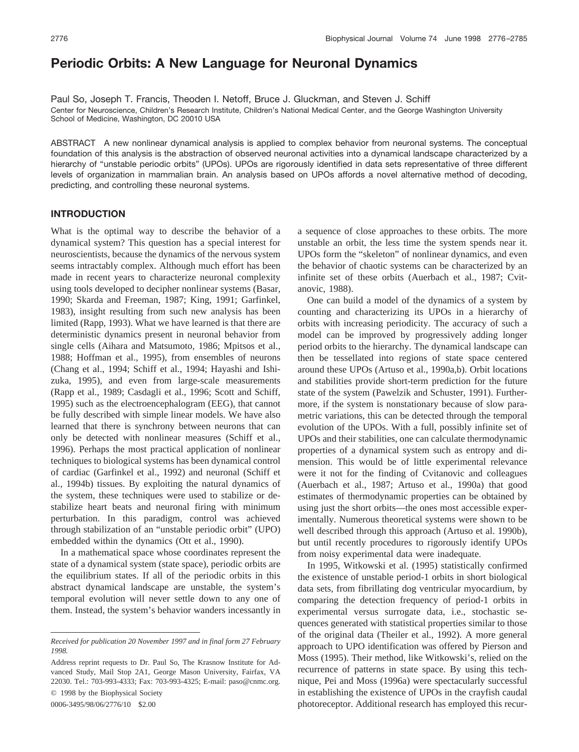# **Periodic Orbits: A New Language for Neuronal Dynamics**

Paul So, Joseph T. Francis, Theoden I. Netoff, Bruce J. Gluckman, and Steven J. Schiff Center for Neuroscience, Children's Research Institute, Children's National Medical Center, and the George Washington University School of Medicine, Washington, DC 20010 USA

ABSTRACT A new nonlinear dynamical analysis is applied to complex behavior from neuronal systems. The conceptual foundation of this analysis is the abstraction of observed neuronal activities into a dynamical landscape characterized by a hierarchy of "unstable periodic orbits" (UPOs). UPOs are rigorously identified in data sets representative of three different levels of organization in mammalian brain. An analysis based on UPOs affords a novel alternative method of decoding, predicting, and controlling these neuronal systems.

# **INTRODUCTION**

What is the optimal way to describe the behavior of a dynamical system? This question has a special interest for neuroscientists, because the dynamics of the nervous system seems intractably complex. Although much effort has been made in recent years to characterize neuronal complexity using tools developed to decipher nonlinear systems (Basar, 1990; Skarda and Freeman, 1987; King, 1991; Garfinkel, 1983), insight resulting from such new analysis has been limited (Rapp, 1993). What we have learned is that there are deterministic dynamics present in neuronal behavior from single cells (Aihara and Matsumoto, 1986; Mpitsos et al., 1988; Hoffman et al., 1995), from ensembles of neurons (Chang et al., 1994; Schiff et al., 1994; Hayashi and Ishizuka, 1995), and even from large-scale measurements (Rapp et al., 1989; Casdagli et al., 1996; Scott and Schiff, 1995) such as the electroencephalogram (EEG), that cannot be fully described with simple linear models. We have also learned that there is synchrony between neurons that can only be detected with nonlinear measures (Schiff et al., 1996). Perhaps the most practical application of nonlinear techniques to biological systems has been dynamical control of cardiac (Garfinkel et al., 1992) and neuronal (Schiff et al., 1994b) tissues. By exploiting the natural dynamics of the system, these techniques were used to stabilize or destabilize heart beats and neuronal firing with minimum perturbation. In this paradigm, control was achieved through stabilization of an "unstable periodic orbit" (UPO) embedded within the dynamics (Ott et al., 1990).

In a mathematical space whose coordinates represent the state of a dynamical system (state space), periodic orbits are the equilibrium states. If all of the periodic orbits in this abstract dynamical landscape are unstable, the system's temporal evolution will never settle down to any one of them. Instead, the system's behavior wanders incessantly in

© 1998 by the Biophysical Society 0006-3495/98/06/2776/10 \$2.00

a sequence of close approaches to these orbits. The more unstable an orbit, the less time the system spends near it. UPOs form the "skeleton" of nonlinear dynamics, and even the behavior of chaotic systems can be characterized by an infinite set of these orbits (Auerbach et al., 1987; Cvitanovic, 1988).

One can build a model of the dynamics of a system by counting and characterizing its UPOs in a hierarchy of orbits with increasing periodicity. The accuracy of such a model can be improved by progressively adding longer period orbits to the hierarchy. The dynamical landscape can then be tessellated into regions of state space centered around these UPOs (Artuso et al., 1990a,b). Orbit locations and stabilities provide short-term prediction for the future state of the system (Pawelzik and Schuster, 1991). Furthermore, if the system is nonstationary because of slow parametric variations, this can be detected through the temporal evolution of the UPOs. With a full, possibly infinite set of UPOs and their stabilities, one can calculate thermodynamic properties of a dynamical system such as entropy and dimension. This would be of little experimental relevance were it not for the finding of Cvitanovic and colleagues (Auerbach et al., 1987; Artuso et al., 1990a) that good estimates of thermodynamic properties can be obtained by using just the short orbits—the ones most accessible experimentally. Numerous theoretical systems were shown to be well described through this approach (Artuso et al. 1990b), but until recently procedures to rigorously identify UPOs from noisy experimental data were inadequate.

In 1995, Witkowski et al. (1995) statistically confirmed the existence of unstable period-1 orbits in short biological data sets, from fibrillating dog ventricular myocardium, by comparing the detection frequency of period-1 orbits in experimental versus surrogate data, i.e., stochastic sequences generated with statistical properties similar to those of the original data (Theiler et al., 1992). A more general approach to UPO identification was offered by Pierson and Moss (1995). Their method, like Witkowski's, relied on the recurrence of patterns in state space. By using this technique, Pei and Moss (1996a) were spectacularly successful in establishing the existence of UPOs in the crayfish caudal photoreceptor. Additional research has employed this recur-

*Received for publication 20 November 1997 and in final form 27 February 1998.*

Address reprint requests to Dr. Paul So, The Krasnow Institute for Advanced Study, Mail Stop 2A1, George Mason University, Fairfax, VA 22030. Tel.: 703-993-4333; Fax: 703-993-4325; E-mail: paso@cnmc.org.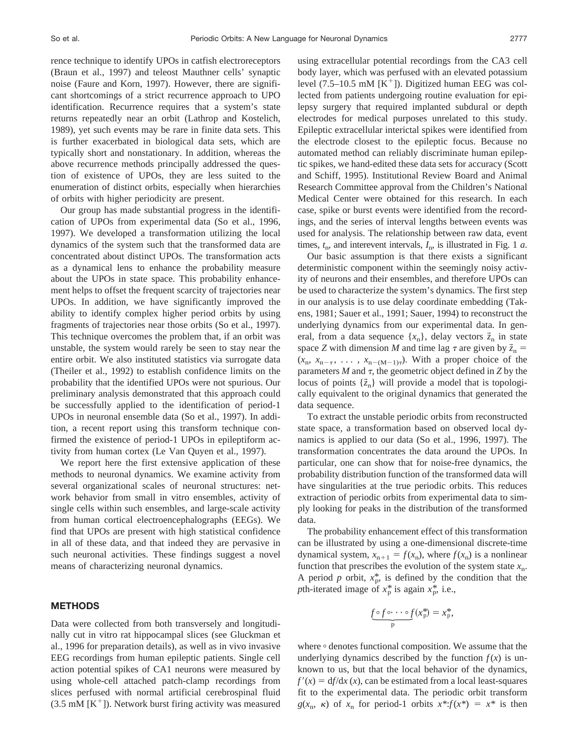rence technique to identify UPOs in catfish electroreceptors (Braun et al., 1997) and teleost Mauthner cells' synaptic noise (Faure and Korn, 1997). However, there are significant shortcomings of a strict recurrence approach to UPO identification. Recurrence requires that a system's state returns repeatedly near an orbit (Lathrop and Kostelich, 1989), yet such events may be rare in finite data sets. This is further exacerbated in biological data sets, which are typically short and nonstationary. In addition, whereas the above recurrence methods principally addressed the question of existence of UPOs, they are less suited to the enumeration of distinct orbits, especially when hierarchies of orbits with higher periodicity are present.

Our group has made substantial progress in the identification of UPOs from experimental data (So et al., 1996, 1997). We developed a transformation utilizing the local dynamics of the system such that the transformed data are concentrated about distinct UPOs. The transformation acts as a dynamical lens to enhance the probability measure about the UPOs in state space. This probability enhancement helps to offset the frequent scarcity of trajectories near UPOs. In addition, we have significantly improved the ability to identify complex higher period orbits by using fragments of trajectories near those orbits (So et al., 1997). This technique overcomes the problem that, if an orbit was unstable, the system would rarely be seen to stay near the entire orbit. We also instituted statistics via surrogate data (Theiler et al., 1992) to establish confidence limits on the probability that the identified UPOs were not spurious. Our preliminary analysis demonstrated that this approach could be successfully applied to the identification of period-1 UPOs in neuronal ensemble data (So et al., 1997). In addition, a recent report using this transform technique confirmed the existence of period-1 UPOs in epileptiform activity from human cortex (Le Van Quyen et al., 1997).

We report here the first extensive application of these methods to neuronal dynamics. We examine activity from several organizational scales of neuronal structures: network behavior from small in vitro ensembles, activity of single cells within such ensembles, and large-scale activity from human cortical electroencephalographs (EEGs). We find that UPOs are present with high statistical confidence in all of these data, and that indeed they are pervasive in such neuronal activities. These findings suggest a novel means of characterizing neuronal dynamics.

### **METHODS**

Data were collected from both transversely and longitudinally cut in vitro rat hippocampal slices (see Gluckman et al., 1996 for preparation details), as well as in vivo invasive EEG recordings from human epileptic patients. Single cell action potential spikes of CA1 neurons were measured by using whole-cell attached patch-clamp recordings from slices perfused with normal artificial cerebrospinal fluid  $(3.5 \text{ mM } (K^+))$ . Network burst firing activity was measured using extracellular potential recordings from the CA3 cell body layer, which was perfused with an elevated potassium level (7.5–10.5 mM  $[K^+]$ ). Digitized human EEG was collected from patients undergoing routine evaluation for epilepsy surgery that required implanted subdural or depth electrodes for medical purposes unrelated to this study. Epileptic extracellular interictal spikes were identified from the electrode closest to the epileptic focus. Because no automated method can reliably discriminate human epileptic spikes, we hand-edited these data sets for accuracy (Scott and Schiff, 1995). Institutional Review Board and Animal Research Committee approval from the Children's National Medical Center were obtained for this research. In each case, spike or burst events were identified from the recordings, and the series of interval lengths between events was used for analysis. The relationship between raw data, event times,  $t_n$ , and interevent intervals,  $I_n$ , is illustrated in Fig. 1 *a*.

Our basic assumption is that there exists a significant deterministic component within the seemingly noisy activity of neurons and their ensembles, and therefore UPOs can be used to characterize the system's dynamics. The first step in our analysis is to use delay coordinate embedding (Takens, 1981; Sauer et al., 1991; Sauer, 1994) to reconstruct the underlying dynamics from our experimental data. In general, from a data sequence  $\{x_n\}$ , delay vectors  $\vec{z}_n$  in state space *Z* with dimension *M* and time lag  $\tau$  are given by  $\vec{z}_n$  =  $(x_n, x_{n-\tau}, \ldots, x_{n-(M-1)\tau})$ . With a proper choice of the parameters  $M$  and  $\tau$ , the geometric object defined in  $Z$  by the locus of points  $\{\vec{z}_n\}$  will provide a model that is topologically equivalent to the original dynamics that generated the data sequence.

To extract the unstable periodic orbits from reconstructed state space, a transformation based on observed local dynamics is applied to our data (So et al., 1996, 1997). The transformation concentrates the data around the UPOs. In particular, one can show that for noise-free dynamics, the probability distribution function of the transformed data will have singularities at the true periodic orbits. This reduces extraction of periodic orbits from experimental data to simply looking for peaks in the distribution of the transformed data.

The probability enhancement effect of this transformation can be illustrated by using a one-dimensional discrete-time dynamical system,  $x_{n+1} = f(x_n)$ , where  $f(x_n)$  is a nonlinear function that prescribes the evolution of the system state  $x_n$ . A period *p* orbit,  $x_p^*$ , is defined by the condition that the *p*th-iterated image of  $x_p^*$  is again  $x_p^*$ , i.e.,<br> $f \circ f \circ \cdots \circ f(x_p^*) = x_p^*$ , *p*th-iterated image of  $x_p^*$  is again  $x_p^*$ , i.e.,

$$
\underbrace{f \circ f \circ \cdots \circ f}_{p}(x_p^*) = x_p^*.
$$

where  $\circ$  denotes functional composition. We assume that the underlying dynamics described by the function  $f(x)$  is unknown to us, but that the local behavior of the dynamics,  $f'(x) = df/dx(x)$ , can be estimated from a local least-squares fit to the experimental data. The periodic orbit transform  $g(x_n, \kappa)$  of  $x_n$  for period-1 orbits  $x^*$ : $f(x^*) = x^*$  is then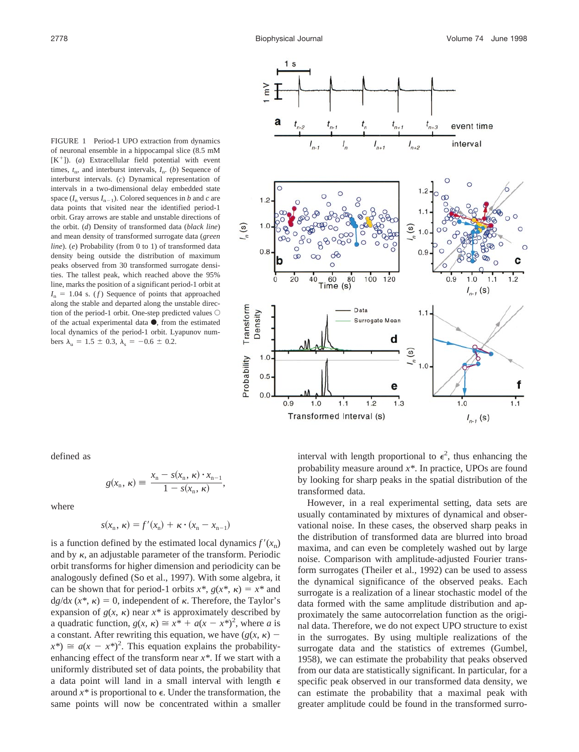

FIGURE 1 Period-1 UPO extraction from dynamics of neuronal ensemble in a hippocampal slice (8.5 mM  $[K^+]$ ). (*a*) Extracellular field potential with event times,  $t_n$ , and interburst intervals,  $I_n$ . (*b*) Sequence of interburst intervals. (*c*) Dynamical representation of intervals in a two-dimensional delay embedded state space  $(I_n$  versus  $I_{n-1}$ ). Colored sequences in *b* and *c* are data points that visited near the identified period-1 orbit. Gray arrows are stable and unstable directions of the orbit. (*d*) Density of transformed data (*black line*) and mean density of transformed surrogate data (*green line*). (*e*) Probability (from 0 to 1) of transformed data density being outside the distribution of maximum peaks observed from 30 transformed surrogate densities. The tallest peak, which reached above the 95% line, marks the position of a significant period-1 orbit at  $I_n = 1.04$  s. (*f*) Sequence of points that approached along the stable and departed along the unstable direction of the period-1 orbit. One-step predicted values  $\bigcirc$ of the actual experimental data  $\bullet$ , from the estimated local dynamics of the period-1 orbit. Lyapunov numbers  $\lambda_u = 1.5 \pm 0.3$ ,  $\lambda_s = -0.6 \pm 0.2$ .

defined as

$$
g(x_n, \kappa) \equiv \frac{x_n - s(x_n, \kappa) \cdot x_{n-1}}{1 - s(x_n, \kappa)},
$$

where

$$
s(x_n, \kappa) = f'(x_n) + \kappa \cdot (x_n - x_{n-1})
$$

is a function defined by the estimated local dynamics  $f'(x_n)$ and by  $\kappa$ , an adjustable parameter of the transform. Periodic orbit transforms for higher dimension and periodicity can be analogously defined (So et al., 1997). With some algebra, it can be shown that for period-1 orbits  $x^*$ ,  $g(x^*, \kappa) = x^*$  and  $d*g*/dx$  ( $x^*$ ,  $\kappa$ ) = 0, independent of  $\kappa$ . Therefore, the Taylor's expansion of  $g(x, \kappa)$  near  $x^*$  is approximately described by a quadratic function,  $g(x, \kappa) \cong x^* + a(x - x^*)^2$ , where *a* is a constant. After rewriting this equation, we have  $(g(x, \kappa))$  $f(x^*) \cong a(x - x^*)^2$ . This equation explains the probabilityenhancing effect of the transform near *x\**. If we start with a uniformly distributed set of data points, the probability that a data point will land in a small interval with length  $\epsilon$ around  $x^*$  is proportional to  $\epsilon$ . Under the transformation, the same points will now be concentrated within a smaller

interval with length proportional to  $\epsilon^2$ , thus enhancing the probability measure around *x\**. In practice, UPOs are found by looking for sharp peaks in the spatial distribution of the transformed data.

However, in a real experimental setting, data sets are usually contaminated by mixtures of dynamical and observational noise. In these cases, the observed sharp peaks in the distribution of transformed data are blurred into broad maxima, and can even be completely washed out by large noise. Comparison with amplitude-adjusted Fourier transform surrogates (Theiler et al., 1992) can be used to assess the dynamical significance of the observed peaks. Each surrogate is a realization of a linear stochastic model of the data formed with the same amplitude distribution and approximately the same autocorrelation function as the original data. Therefore, we do not expect UPO structure to exist in the surrogates. By using multiple realizations of the surrogate data and the statistics of extremes (Gumbel, 1958), we can estimate the probability that peaks observed from our data are statistically significant. In particular, for a specific peak observed in our transformed data density, we can estimate the probability that a maximal peak with greater amplitude could be found in the transformed surro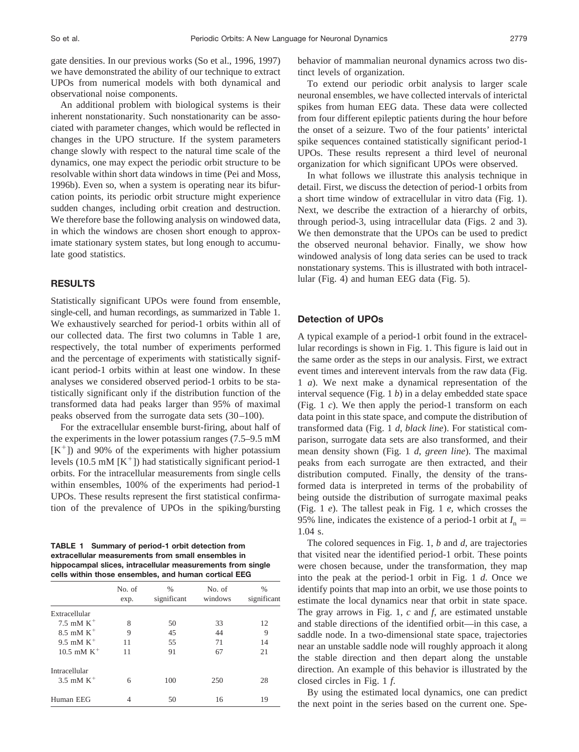gate densities. In our previous works (So et al., 1996, 1997) we have demonstrated the ability of our technique to extract UPOs from numerical models with both dynamical and observational noise components.

An additional problem with biological systems is their inherent nonstationarity. Such nonstationarity can be associated with parameter changes, which would be reflected in changes in the UPO structure. If the system parameters change slowly with respect to the natural time scale of the dynamics, one may expect the periodic orbit structure to be resolvable within short data windows in time (Pei and Moss, 1996b). Even so, when a system is operating near its bifurcation points, its periodic orbit structure might experience sudden changes, including orbit creation and destruction. We therefore base the following analysis on windowed data, in which the windows are chosen short enough to approximate stationary system states, but long enough to accumulate good statistics.

### **RESULTS**

Statistically significant UPOs were found from ensemble, single-cell, and human recordings, as summarized in Table 1. We exhaustively searched for period-1 orbits within all of our collected data. The first two columns in Table 1 are, respectively, the total number of experiments performed and the percentage of experiments with statistically significant period-1 orbits within at least one window. In these analyses we considered observed period-1 orbits to be statistically significant only if the distribution function of the transformed data had peaks larger than 95% of maximal peaks observed from the surrogate data sets (30–100).

For the extracellular ensemble burst-firing, about half of the experiments in the lower potassium ranges (7.5–9.5 mM  $[K^+]$ ) and 90% of the experiments with higher potassium levels (10.5 mM  $[K^+]$ ) had statistically significant period-1 orbits. For the intracellular measurements from single cells within ensembles, 100% of the experiments had period-1 UPOs. These results represent the first statistical confirmation of the prevalence of UPOs in the spiking/bursting

**TABLE 1 Summary of period-1 orbit detection from extracellular measurements from small ensembles in hippocampal slices, intracellular measurements from single cells within those ensembles, and human cortical EEG**

|                          | No. of<br>exp. | $\frac{0}{0}$<br>significant | No. of<br>windows | $\frac{0}{0}$<br>significant |
|--------------------------|----------------|------------------------------|-------------------|------------------------------|
| Extracellular            |                |                              |                   |                              |
| 7.5 mM $K^+$             | 8              | 50                           | 33                | 12                           |
| $8.5$ mM K <sup>+</sup>  | 9              | 45                           | 44                | 9                            |
| 9.5 mM $K^+$             | 11             | 55                           | 71                | 14                           |
| $10.5$ mM K <sup>+</sup> | 11             | 91                           | 67                | 21                           |
| Intracellular            |                |                              |                   |                              |
| 3.5 mM $K^+$             | 6              | 100                          | 250               | 28                           |
| Human EEG                |                | 50                           | 16                | 19                           |

behavior of mammalian neuronal dynamics across two distinct levels of organization.

To extend our periodic orbit analysis to larger scale neuronal ensembles, we have collected intervals of interictal spikes from human EEG data. These data were collected from four different epileptic patients during the hour before the onset of a seizure. Two of the four patients' interictal spike sequences contained statistically significant period-1 UPOs. These results represent a third level of neuronal organization for which significant UPOs were observed.

In what follows we illustrate this analysis technique in detail. First, we discuss the detection of period-1 orbits from a short time window of extracellular in vitro data (Fig. 1). Next, we describe the extraction of a hierarchy of orbits, through period-3, using intracellular data (Figs. 2 and 3). We then demonstrate that the UPOs can be used to predict the observed neuronal behavior. Finally, we show how windowed analysis of long data series can be used to track nonstationary systems. This is illustrated with both intracellular (Fig. 4) and human EEG data (Fig. 5).

### **Detection of UPOs**

A typical example of a period-1 orbit found in the extracellular recordings is shown in Fig. 1. This figure is laid out in the same order as the steps in our analysis. First, we extract event times and interevent intervals from the raw data (Fig. 1 *a*). We next make a dynamical representation of the interval sequence (Fig. 1 *b*) in a delay embedded state space (Fig. 1 *c*). We then apply the period-1 transform on each data point in this state space, and compute the distribution of transformed data (Fig. 1 *d*, *black line*). For statistical comparison, surrogate data sets are also transformed, and their mean density shown (Fig. 1 *d*, *green line*). The maximal peaks from each surrogate are then extracted, and their distribution computed. Finally, the density of the transformed data is interpreted in terms of the probability of being outside the distribution of surrogate maximal peaks (Fig. 1 *e*). The tallest peak in Fig. 1 *e*, which crosses the 95% line, indicates the existence of a period-1 orbit at  $I_n =$ 1.04 s.

The colored sequences in Fig. 1, *b* and *d*, are trajectories that visited near the identified period-1 orbit. These points were chosen because, under the transformation, they map into the peak at the period-1 orbit in Fig. 1 *d*. Once we identify points that map into an orbit, we use those points to estimate the local dynamics near that orbit in state space. The gray arrows in Fig. 1, *c* and *f*, are estimated unstable and stable directions of the identified orbit—in this case, a saddle node. In a two-dimensional state space, trajectories near an unstable saddle node will roughly approach it along the stable direction and then depart along the unstable direction. An example of this behavior is illustrated by the closed circles in Fig. 1 *f*.

By using the estimated local dynamics, one can predict the next point in the series based on the current one. Spe-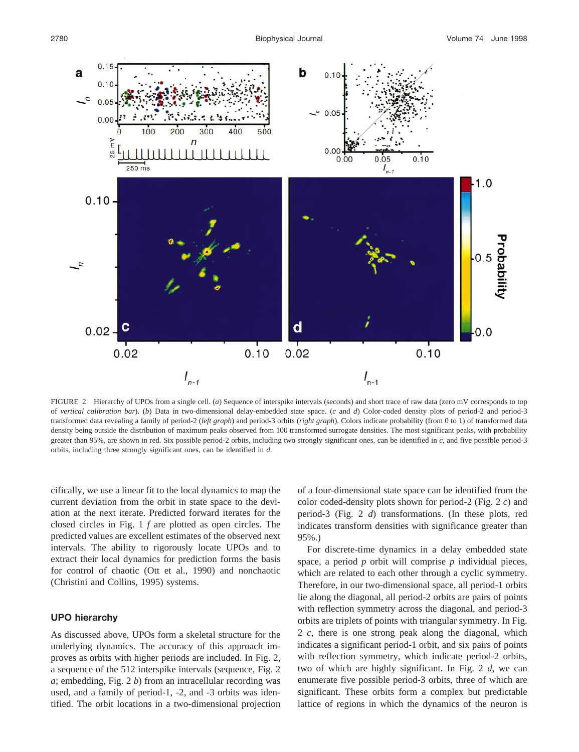

FIGURE 2 Hierarchy of UPOs from a single cell. (*a*) Sequence of interspike intervals (seconds) and short trace of raw data (zero mV corresponds to top of *vertical calibration bar*). (*b*) Data in two-dimensional delay-embedded state space. (*c* and *d*) Color-coded density plots of period-2 and period-3 transformed data revealing a family of period-2 (*left graph*) and period-3 orbits (*right graph*). Colors indicate probability (from 0 to 1) of transformed data density being outside the distribution of maximum peaks observed from 100 transformed surrogate densities. The most significant peaks, with probability greater than 95%, are shown in red. Six possible period-2 orbits, including two strongly significant ones, can be identified in *c*, and five possible period-3 orbits, including three strongly significant ones, can be identified in *d*.

cifically, we use a linear fit to the local dynamics to map the current deviation from the orbit in state space to the deviation at the next iterate. Predicted forward iterates for the closed circles in Fig. 1 *f* are plotted as open circles. The predicted values are excellent estimates of the observed next intervals. The ability to rigorously locate UPOs and to extract their local dynamics for prediction forms the basis for control of chaotic (Ott et al., 1990) and nonchaotic (Christini and Collins, 1995) systems.

# **UPO hierarchy**

As discussed above, UPOs form a skeletal structure for the underlying dynamics. The accuracy of this approach improves as orbits with higher periods are included. In Fig. 2, a sequence of the 512 interspike intervals (sequence, Fig. 2 *a*; embedding, Fig. 2 *b*) from an intracellular recording was used, and a family of period-1, -2, and -3 orbits was identified. The orbit locations in a two-dimensional projection of a four-dimensional state space can be identified from the color coded-density plots shown for period-2 (Fig. 2 *c*) and period-3 (Fig. 2 *d*) transformations. (In these plots, red indicates transform densities with significance greater than 95%.)

For discrete-time dynamics in a delay embedded state space, a period *p* orbit will comprise *p* individual pieces, which are related to each other through a cyclic symmetry. Therefore, in our two-dimensional space, all period-1 orbits lie along the diagonal, all period-2 orbits are pairs of points with reflection symmetry across the diagonal, and period-3 orbits are triplets of points with triangular symmetry. In Fig. 2 *c*, there is one strong peak along the diagonal, which indicates a significant period-1 orbit, and six pairs of points with reflection symmetry, which indicate period-2 orbits, two of which are highly significant. In Fig. 2 *d*, we can enumerate five possible period-3 orbits, three of which are significant. These orbits form a complex but predictable lattice of regions in which the dynamics of the neuron is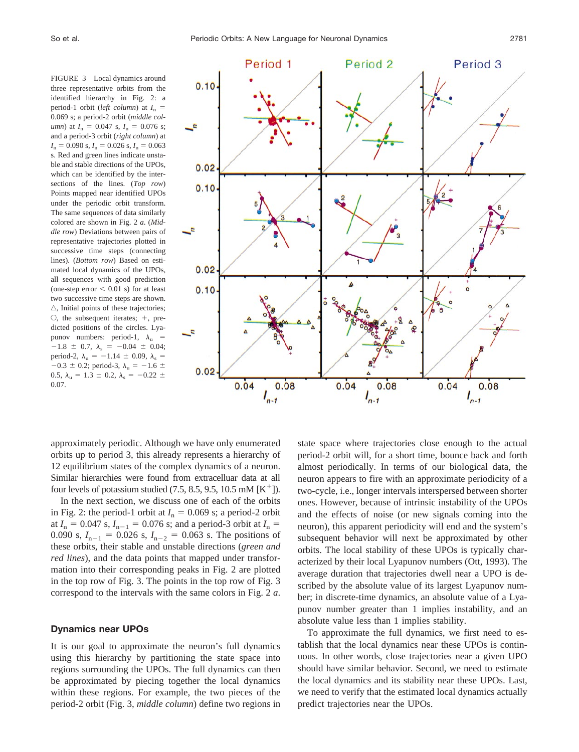FIGURE 3 Local dynamics around three representative orbits from the identified hierarchy in Fig. 2: a period-1 orbit (*left column*) at  $I_n =$ 0.069 s; a period-2 orbit (*middle column*) at  $I_n = 0.047$  s,  $I_n = 0.076$  s; and a period-3 orbit (*right column*) at  $I_n = 0.090$  s,  $I_n = 0.026$  s,  $I_n = 0.063$ s. Red and green lines indicate unstable and stable directions of the UPOs, which can be identified by the intersections of the lines. (*Top row*) Points mapped near identified UPOs under the periodic orbit transform. The same sequences of data similarly colored are shown in Fig. 2 *a*. (*Middle row*) Deviations between pairs of representative trajectories plotted in successive time steps (connecting lines). (*Bottom row*) Based on estimated local dynamics of the UPOs, all sequences with good prediction (one-step error  $< 0.01$  s) for at least two successive time steps are shown.  $\triangle$ , Initial points of these trajectories;  $\circ$ , the subsequent iterates;  $+$ , predicted positions of the circles. Lyapunov numbers: period-1,  $\lambda_{\text{u}}$  =  $-1.8 \pm 0.7$ ,  $\lambda_s = -0.04 \pm 0.04$ ; period-2,  $\lambda_{\rm u} = -1.14 \pm 0.09$ ,  $\lambda_{\rm s} =$  $-0.3 \pm 0.2$ ; period-3,  $\lambda$ <sub>u</sub> =  $-1.6 \pm$ 0.5,  $\lambda_u = 1.3 \pm 0.2$ ,  $\lambda_s = -0.22 \pm 0.21$ 0.07.



approximately periodic. Although we have only enumerated orbits up to period 3, this already represents a hierarchy of 12 equilibrium states of the complex dynamics of a neuron. Similar hierarchies were found from extracelluar data at all four levels of potassium studied  $(7.5, 8.5, 9.5, 10.5 \text{ mM } [\text{K}^+])$ .

In the next section, we discuss one of each of the orbits in Fig. 2: the period-1 orbit at  $I_n = 0.069$  s; a period-2 orbit at  $I_n = 0.047$  s,  $I_{n-1} = 0.076$  s; and a period-3 orbit at  $I_n =$ 0.090 s,  $I_{n-1} = 0.026$  s,  $I_{n-2} = 0.063$  s. The positions of these orbits, their stable and unstable directions (*green and red lines*), and the data points that mapped under transformation into their corresponding peaks in Fig. 2 are plotted in the top row of Fig. 3. The points in the top row of Fig. 3 correspond to the intervals with the same colors in Fig. 2 *a*.

## **Dynamics near UPOs**

It is our goal to approximate the neuron's full dynamics using this hierarchy by partitioning the state space into regions surrounding the UPOs. The full dynamics can then be approximated by piecing together the local dynamics within these regions. For example, the two pieces of the period-2 orbit (Fig. 3, *middle column*) define two regions in

state space where trajectories close enough to the actual period-2 orbit will, for a short time, bounce back and forth almost periodically. In terms of our biological data, the neuron appears to fire with an approximate periodicity of a two-cycle, i.e., longer intervals interspersed between shorter ones. However, because of intrinsic instability of the UPOs and the effects of noise (or new signals coming into the neuron), this apparent periodicity will end and the system's subsequent behavior will next be approximated by other orbits. The local stability of these UPOs is typically characterized by their local Lyapunov numbers (Ott, 1993). The average duration that trajectories dwell near a UPO is described by the absolute value of its largest Lyapunov number; in discrete-time dynamics, an absolute value of a Lyapunov number greater than 1 implies instability, and an absolute value less than 1 implies stability.

To approximate the full dynamics, we first need to establish that the local dynamics near these UPOs is continuous. In other words, close trajectories near a given UPO should have similar behavior. Second, we need to estimate the local dynamics and its stability near these UPOs. Last, we need to verify that the estimated local dynamics actually predict trajectories near the UPOs.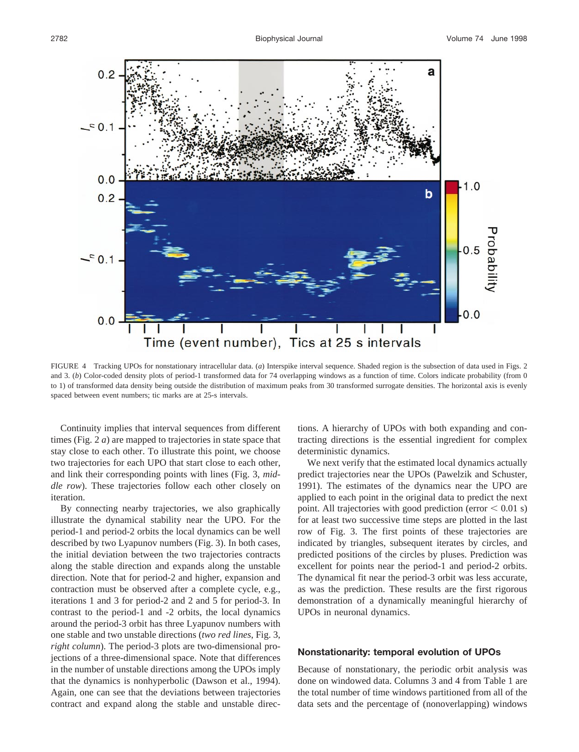

FIGURE 4 Tracking UPOs for nonstationary intracellular data. (*a*) Interspike interval sequence. Shaded region is the subsection of data used in Figs. 2 and 3. (b) Color-coded density plots of period-1 transformed data for 74 overlapping windows as a function of time. Colors indicate probability (from 0 to 1) of transformed data density being outside the distribution of maximum peaks from 30 transformed surrogate densities. The horizontal axis is evenly spaced between event numbers; tic marks are at 25-s intervals.

Continuity implies that interval sequences from different times (Fig. 2 *a*) are mapped to trajectories in state space that stay close to each other. To illustrate this point, we choose two trajectories for each UPO that start close to each other, and link their corresponding points with lines (Fig. 3, *middle row*). These trajectories follow each other closely on iteration.

By connecting nearby trajectories, we also graphically illustrate the dynamical stability near the UPO. For the period-1 and period-2 orbits the local dynamics can be well described by two Lyapunov numbers (Fig. 3). In both cases, the initial deviation between the two trajectories contracts along the stable direction and expands along the unstable direction. Note that for period-2 and higher, expansion and contraction must be observed after a complete cycle, e.g., iterations 1 and 3 for period-2 and 2 and 5 for period-3. In contrast to the period-1 and -2 orbits, the local dynamics around the period-3 orbit has three Lyapunov numbers with one stable and two unstable directions (*two red lines*, Fig. 3, *right column*). The period-3 plots are two-dimensional projections of a three-dimensional space. Note that differences in the number of unstable directions among the UPOs imply that the dynamics is nonhyperbolic (Dawson et al., 1994). Again, one can see that the deviations between trajectories contract and expand along the stable and unstable directions. A hierarchy of UPOs with both expanding and contracting directions is the essential ingredient for complex deterministic dynamics.

We next verify that the estimated local dynamics actually predict trajectories near the UPOs (Pawelzik and Schuster, 1991). The estimates of the dynamics near the UPO are applied to each point in the original data to predict the next point. All trajectories with good prediction (error  $< 0.01$  s) for at least two successive time steps are plotted in the last row of Fig. 3. The first points of these trajectories are indicated by triangles, subsequent iterates by circles, and predicted positions of the circles by pluses. Prediction was excellent for points near the period-1 and period-2 orbits. The dynamical fit near the period-3 orbit was less accurate, as was the prediction. These results are the first rigorous demonstration of a dynamically meaningful hierarchy of UPOs in neuronal dynamics.

#### **Nonstationarity: temporal evolution of UPOs**

Because of nonstationary, the periodic orbit analysis was done on windowed data. Columns 3 and 4 from Table 1 are the total number of time windows partitioned from all of the data sets and the percentage of (nonoverlapping) windows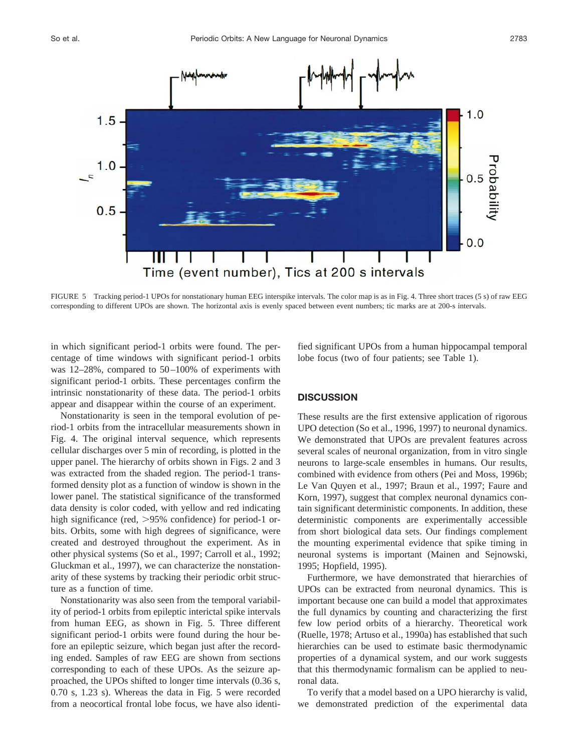

FIGURE 5 Tracking period-1 UPOs for nonstationary human EEG interspike intervals. The color map is as in Fig. 4. Three short traces (5 s) of raw EEG corresponding to different UPOs are shown. The horizontal axis is evenly spaced between event numbers; tic marks are at 200-s intervals.

in which significant period-1 orbits were found. The percentage of time windows with significant period-1 orbits was 12–28%, compared to 50–100% of experiments with significant period-1 orbits. These percentages confirm the intrinsic nonstationarity of these data. The period-1 orbits appear and disappear within the course of an experiment.

Nonstationarity is seen in the temporal evolution of period-1 orbits from the intracellular measurements shown in Fig. 4. The original interval sequence, which represents cellular discharges over 5 min of recording, is plotted in the upper panel. The hierarchy of orbits shown in Figs. 2 and 3 was extracted from the shaded region. The period-1 transformed density plot as a function of window is shown in the lower panel. The statistical significance of the transformed data density is color coded, with yellow and red indicating high significance (red,  $>95\%$  confidence) for period-1 orbits. Orbits, some with high degrees of significance, were created and destroyed throughout the experiment. As in other physical systems (So et al., 1997; Carroll et al., 1992; Gluckman et al., 1997), we can characterize the nonstationarity of these systems by tracking their periodic orbit structure as a function of time.

Nonstationarity was also seen from the temporal variability of period-1 orbits from epileptic interictal spike intervals from human EEG, as shown in Fig. 5. Three different significant period-1 orbits were found during the hour before an epileptic seizure, which began just after the recording ended. Samples of raw EEG are shown from sections corresponding to each of these UPOs. As the seizure approached, the UPOs shifted to longer time intervals (0.36 s, 0.70 s, 1.23 s). Whereas the data in Fig. 5 were recorded from a neocortical frontal lobe focus, we have also identified significant UPOs from a human hippocampal temporal lobe focus (two of four patients; see Table 1).

# **DISCUSSION**

These results are the first extensive application of rigorous UPO detection (So et al., 1996, 1997) to neuronal dynamics. We demonstrated that UPOs are prevalent features across several scales of neuronal organization, from in vitro single neurons to large-scale ensembles in humans. Our results, combined with evidence from others (Pei and Moss, 1996b; Le Van Quyen et al., 1997; Braun et al., 1997; Faure and Korn, 1997), suggest that complex neuronal dynamics contain significant deterministic components. In addition, these deterministic components are experimentally accessible from short biological data sets. Our findings complement the mounting experimental evidence that spike timing in neuronal systems is important (Mainen and Sejnowski, 1995; Hopfield, 1995).

Furthermore, we have demonstrated that hierarchies of UPOs can be extracted from neuronal dynamics. This is important because one can build a model that approximates the full dynamics by counting and characterizing the first few low period orbits of a hierarchy. Theoretical work (Ruelle, 1978; Artuso et al., 1990a) has established that such hierarchies can be used to estimate basic thermodynamic properties of a dynamical system, and our work suggests that this thermodynamic formalism can be applied to neuronal data.

To verify that a model based on a UPO hierarchy is valid, we demonstrated prediction of the experimental data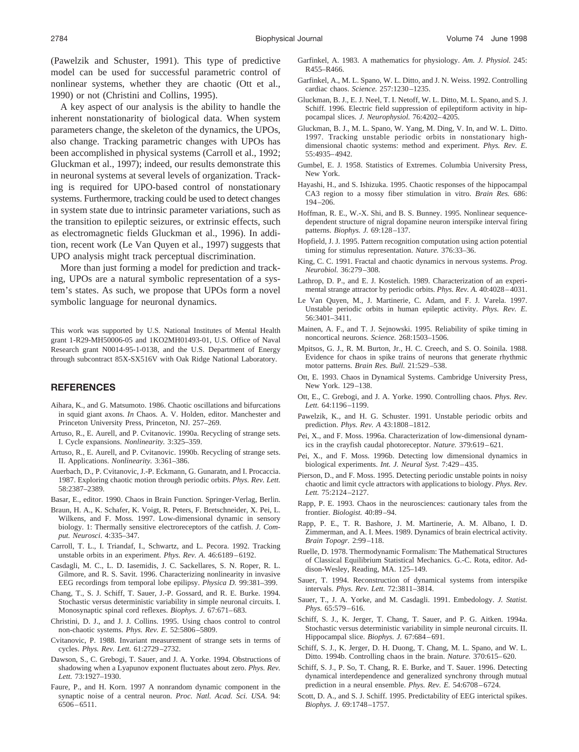(Pawelzik and Schuster, 1991). This type of predictive model can be used for successful parametric control of nonlinear systems, whether they are chaotic (Ott et al., 1990) or not (Christini and Collins, 1995).

A key aspect of our analysis is the ability to handle the inherent nonstationarity of biological data. When system parameters change, the skeleton of the dynamics, the UPOs, also change. Tracking parametric changes with UPOs has been accomplished in physical systems (Carroll et al., 1992; Gluckman et al., 1997); indeed, our results demonstrate this in neuronal systems at several levels of organization. Tracking is required for UPO-based control of nonstationary systems. Furthermore, tracking could be used to detect changes in system state due to intrinsic parameter variations, such as the transition to epileptic seizures, or extrinsic effects, such as electromagnetic fields Gluckman et al., 1996). In addition, recent work (Le Van Quyen et al., 1997) suggests that UPO analysis might track perceptual discrimination.

More than just forming a model for prediction and tracking, UPOs are a natural symbolic representation of a system's states. As such, we propose that UPOs form a novel symbolic language for neuronal dynamics.

This work was supported by U.S. National Institutes of Mental Health grant 1-R29-MH50006-05 and 1KO2MH01493-01, U.S. Office of Naval Research grant N0014-95-1-0138, and the U.S. Department of Energy through subcontract 85X-SX516V with Oak Ridge National Laboratory.

### **REFERENCES**

- Aihara, K., and G. Matsumoto. 1986. Chaotic oscillations and bifurcations in squid giant axons. *In* Chaos. A. V. Holden, editor. Manchester and Princeton University Press, Princeton, NJ. 257–269.
- Artuso, R., E. Aurell, and P. Cvitanovic. 1990a. Recycling of strange sets. I. Cycle expansions. *Nonlinearity.* 3:325–359.
- Artuso, R., E. Aurell, and P. Cvitanovic. 1990b. Recycling of strange sets. II. Applications. *Nonlinearity.* 3:361–386.
- Auerbach, D., P. Cvitanovic, J.-P. Eckmann, G. Gunaratn, and I. Procaccia. 1987. Exploring chaotic motion through periodic orbits. *Phys. Rev. Lett.* 58:2387–2389.
- Basar, E., editor. 1990. Chaos in Brain Function. Springer-Verlag, Berlin.
- Braun, H. A., K. Schafer, K. Voigt, R. Peters, F. Bretschneider, X. Pei, L. Wilkens, and F. Moss. 1997. Low-dimensional dynamic in sensory biology. 1: Thermally sensitive electroreceptors of the catfish. *J. Comput. Neurosci*. 4:335–347.
- Carroll, T. L., I. Triandaf, I., Schwartz, and L. Pecora. 1992. Tracking unstable orbits in an experiment. *Phys. Rev. A.* 46:6189–6192.
- Casdagli, M. C., L. D. Iasemidis, J. C. Sackellares, S. N. Roper, R. L. Gilmore, and R. S. Savit. 1996. Characterizing nonlinearity in invasive EEG recordings from temporal lobe epilipsy. *Physica D.* 99:381–399.
- Chang, T., S. J. Schiff, T. Sauer, J.-P. Gossard, and R. E. Burke. 1994. Stochastic versus deterministic variability in simple neuronal circuits. I. Monosynaptic spinal cord reflexes. *Biophys. J.* 67:671–683.
- Christini, D. J., and J. J. Collins. 1995. Using chaos control to control non-chaotic systems. *Phys. Rev. E.* 52:5806–5809.
- Cvitanovic, P. 1988. Invariant measurement of strange sets in terms of cycles. *Phys. Rev. Lett.* 61:2729–2732.
- Dawson, S., C. Grebogi, T. Sauer, and J. A. Yorke. 1994. Obstructions of shadowing when a Lyapunov exponent fluctuates about zero. *Phys. Rev. Lett.* 73:1927–1930.
- Faure, P., and H. Korn. 1997 A nonrandom dynamic component in the synaptic noise of a central neuron. *Proc. Natl. Acad. Sci. USA*. 94: 6506–6511.
- Garfinkel, A. 1983. A mathematics for physiology. *Am. J. Physiol.* 245: R455–R466.
- Garfinkel, A., M. L. Spano, W. L. Ditto, and J. N. Weiss. 1992. Controlling cardiac chaos. *Science.* 257:1230–1235.
- Gluckman, B. J., E. J. Neel, T. I. Netoff, W. L. Ditto, M. L. Spano, and S. J. Schiff. 1996. Electric field suppression of epileptiform activity in hippocampal slices. *J. Neurophysiol.* 76:4202–4205.
- Gluckman, B. J., M. L. Spano, W. Yang, M. Ding, V. In, and W. L. Ditto. 1997. Tracking unstable periodic orbits in nonstationary highdimensional chaotic systems: method and experiment. *Phys. Rev. E.* 55:4935–4942.
- Gumbel, E. J. 1958. Statistics of Extremes. Columbia University Press, New York.
- Hayashi, H., and S. Ishizuka. 1995. Chaotic responses of the hippocampal CA3 region to a mossy fiber stimulation in vitro. *Brain Res.* 686: 194–206.
- Hoffman, R. E., W.-X. Shi, and B. S. Bunney. 1995. Nonlinear sequencedependent structure of nigral dopamine neuron interspike interval firing patterns. *Biophys. J.* 69:128–137.
- Hopfield, J. J. 1995. Pattern recognition computation using action potential timing for stimulus representation. *Nature.* 376:33–36.
- King, C. C. 1991. Fractal and chaotic dynamics in nervous systems. *Prog. Neurobiol.* 36:279–308.
- Lathrop, D. P., and E. J. Kostelich. 1989. Characterization of an experimental strange attractor by periodic orbits. *Phys. Rev. A.* 40:4028–4031.
- Le Van Quyen, M., J. Martinerie, C. Adam, and F. J. Varela. 1997. Unstable periodic orbits in human epileptic activity. *Phys. Rev. E.* 56:3401–3411.
- Mainen, A. F., and T. J. Sejnowski. 1995. Reliability of spike timing in noncortical neurons. *Science.* 268:1503–1506.
- Mpitsos, G. J., R. M. Burton, Jr., H. C. Creech, and S. O. Soinila. 1988. Evidence for chaos in spike trains of neurons that generate rhythmic motor patterns. *Brain Res. Bull.* 21:529–538.
- Ott, E. 1993. Chaos in Dynamical Systems. Cambridge University Press, New York. 129–138.
- Ott, E., C. Grebogi, and J. A. Yorke. 1990. Controlling chaos. *Phys. Rev. Lett.* 64:1196–1199.
- Pawelzik, K., and H. G. Schuster. 1991. Unstable periodic orbits and prediction. *Phys. Rev. A* 43:1808–1812.
- Pei, X., and F. Moss. 1996a. Characterization of low-dimensional dynamics in the crayfish caudal photoreceptor. *Nature.* 379:619–621.
- Pei, X., and F. Moss. 1996b. Detecting low dimensional dynamics in biological experiments. *Int. J. Neural Syst.* 7:429–435.
- Pierson, D., and F. Moss. 1995. Detecting periodic unstable points in noisy chaotic and limit cycle attractors with applications to biology. *Phys. Rev. Lett.* 75:2124–2127.
- Rapp, P. E. 1993. Chaos in the neurosciences: cautionary tales from the frontier. *Biologist.* 40:89–94.
- Rapp, P. E., T. R. Bashore, J. M. Martinerie, A. M. Albano, I. D. Zimmerman, and A. I. Mees. 1989. Dynamics of brain electrical activity. *Brain Topogr.* 2:99–118.
- Ruelle, D. 1978. Thermodynamic Formalism: The Mathematical Structures of Classical Equilibrium Statistical Mechanics. G.-C. Rota, editor. Addison-Wesley, Reading, MA. 125–149.
- Sauer, T. 1994. Reconstruction of dynamical systems from interspike intervals. *Phys. Rev. Lett.* 72:3811–3814.
- Sauer, T., J. A. Yorke, and M. Casdagli. 1991. Embedology. *J. Statist. Phys.* 65:579–616.
- Schiff, S. J., K. Jerger, T. Chang, T. Sauer, and P. G. Aitken. 1994a. Stochastic versus deterministic variability in simple neuronal circuits. II. Hippocampal slice. *Biophys. J.* 67:684–691.
- Schiff, S. J., K. Jerger, D. H. Duong, T. Chang, M. L. Spano, and W. L. Ditto. 1994b. Controlling chaos in the brain. *Nature.* 370:615–620.
- Schiff, S. J., P. So, T. Chang, R. E. Burke, and T. Sauer. 1996. Detecting dynamical interdependence and generalized synchrony through mutual prediction in a neural ensemble. *Phys. Rev. E.* 54:6708–6724.
- Scott, D. A., and S. J. Schiff. 1995. Predictability of EEG interictal spikes. *Biophys. J.* 69:1748–1757.